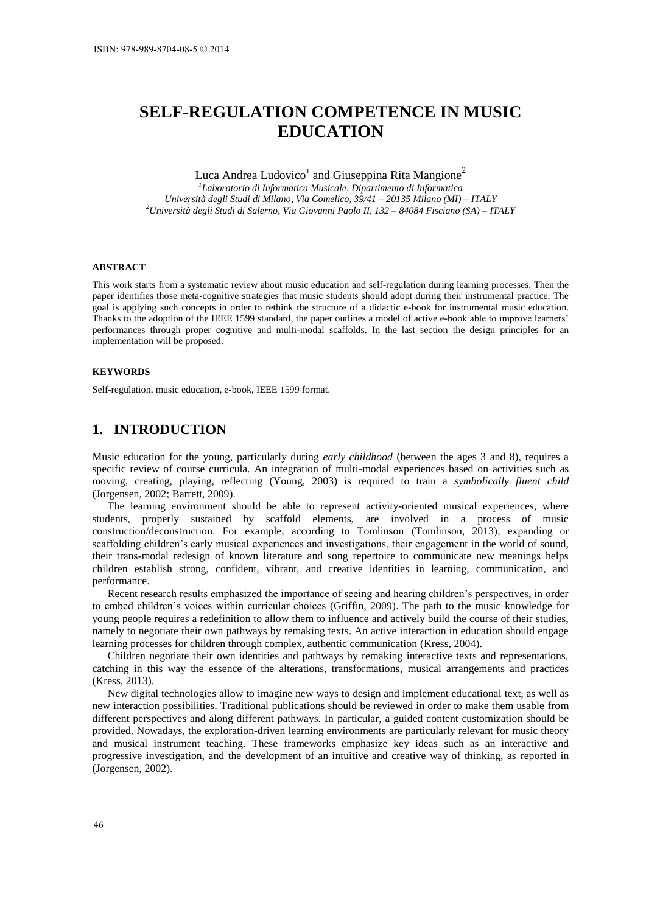# **SELF-REGULATION COMPETENCE IN MUSIC EDUCATION**

# Luca Andrea Ludovico<sup>1</sup> and Giuseppina Rita Mangione<sup>2</sup>

*1 Laboratorio di Informatica Musicale, Dipartimento di Informatica Università degli Studi di Milano, Via Comelico, 39/41 – 20135 Milano (MI) – ITALY <sup>2</sup>Università degli Studi di Salerno, Via Giovanni Paolo II, 132 – 84084 Fisciano (SA) – ITALY* 

#### **ABSTRACT**

This work starts from a systematic review about music education and self-regulation during learning processes. Then the paper identifies those meta-cognitive strategies that music students should adopt during their instrumental practice. The goal is applying such concepts in order to rethink the structure of a didactic e-book for instrumental music education. Thanks to the adoption of the IEEE 1599 standard, the paper outlines a model of active e-book able to improve learners' performances through proper cognitive and multi-modal scaffolds. In the last section the design principles for an implementation will be proposed.

#### **KEYWORDS**

Self-regulation, music education, e-book, IEEE 1599 format.

### **1. INTRODUCTION**

Music education for the young, particularly during *early childhood* (between the ages 3 and 8), requires a specific review of course curricula. An integration of multi-modal experiences based on activities such as moving, creating, playing, reflecting (Young, 2003) is required to train a *symbolically fluent child* (Jorgensen, 2002; Barrett, 2009).

The learning environment should be able to represent activity-oriented musical experiences, where students, properly sustained by scaffold elements, are involved in a process of music construction/deconstruction. For example, according to Tomlinson (Tomlinson, 2013), expanding or scaffolding children's early musical experiences and investigations, their engagement in the world of sound, their trans-modal redesign of known literature and song repertoire to communicate new meanings helps children establish strong, confident, vibrant, and creative identities in learning, communication, and performance.

Recent research results emphasized the importance of seeing and hearing children's perspectives, in order to embed children's voices within curricular choices (Griffin, 2009). The path to the music knowledge for young people requires a redefinition to allow them to influence and actively build the course of their studies, namely to negotiate their own pathways by remaking texts. An active interaction in education should engage learning processes for children through complex, authentic communication (Kress, 2004).

Children negotiate their own identities and pathways by remaking interactive texts and representations, catching in this way the essence of the alterations, transformations, musical arrangements and practices (Kress, 2013).

New digital technologies allow to imagine new ways to design and implement educational text, as well as new interaction possibilities. Traditional publications should be reviewed in order to make them usable from different perspectives and along different pathways. In particular, a guided content customization should be provided. Nowadays, the exploration-driven learning environments are particularly relevant for music theory and musical instrument teaching. These frameworks emphasize key ideas such as an interactive and progressive investigation, and the development of an intuitive and creative way of thinking, as reported in (Jorgensen, 2002).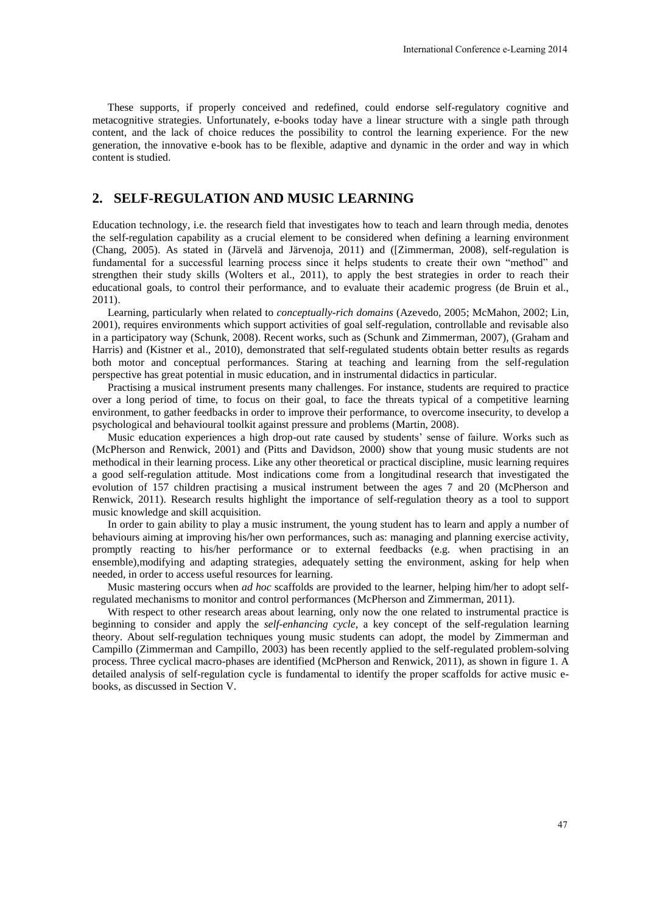These supports, if properly conceived and redefined, could endorse self-regulatory cognitive and metacognitive strategies. Unfortunately, e-books today have a linear structure with a single path through content, and the lack of choice reduces the possibility to control the learning experience. For the new generation, the innovative e-book has to be flexible, adaptive and dynamic in the order and way in which content is studied.

# **2. SELF-REGULATION AND MUSIC LEARNING**

Education technology, i.e. the research field that investigates how to teach and learn through media, denotes the self-regulation capability as a crucial element to be considered when defining a learning environment (Chang, 2005). As stated in (Järvelä and Järvenoja, 2011) and ([Zimmerman, 2008), self-regulation is fundamental for a successful learning process since it helps students to create their own "method" and strengthen their study skills (Wolters et al., 2011), to apply the best strategies in order to reach their educational goals, to control their performance, and to evaluate their academic progress (de Bruin et al., 2011). International Conference e-Learning 2014<br>
International Conference e-Learning 2014<br>
Instructure with a single path through<br>
he learning experience. For the new<br>
structure with a single path through<br>
he learning experience.

Learning, particularly when related to *conceptually-rich domains* (Azevedo, 2005; McMahon, 2002; Lin, 2001), requires environments which support activities of goal self-regulation, controllable and revisable also in a participatory way (Schunk, 2008). Recent works, such as (Schunk and Zimmerman, 2007), (Graham and Harris) and (Kistner et al., 2010), demonstrated that self-regulated students obtain better results as regards both motor and conceptual performances. Staring at teaching and learning from the self-regulation perspective has great potential in music education, and in instrumental didactics in particular.

Practising a musical instrument presents many challenges. For instance, students are required to practice over a long period of time, to focus on their goal, to face the threats typical of a competitive learning environment, to gather feedbacks in order to improve their performance, to overcome insecurity, to develop a psychological and behavioural toolkit against pressure and problems (Martin, 2008).

Music education experiences a high drop-out rate caused by students' sense of failure. Works such as (McPherson and Renwick, 2001) and (Pitts and Davidson, 2000) show that young music students are not methodical in their learning process. Like any other theoretical or practical discipline, music learning requires a good self-regulation attitude. Most indications come from a longitudinal research that investigated the evolution of 157 children practising a musical instrument between the ages 7 and 20 (McPherson and Renwick, 2011). Research results highlight the importance of self-regulation theory as a tool to support music knowledge and skill acquisition.

In order to gain ability to play a music instrument, the young student has to learn and apply a number of behaviours aiming at improving his/her own performances, such as: managing and planning exercise activity, promptly reacting to his/her performance or to external feedbacks (e.g. when practising in an ensemble),modifying and adapting strategies, adequately setting the environment, asking for help when needed, in order to access useful resources for learning.

Music mastering occurs when *ad hoc* scaffolds are provided to the learner, helping him/her to adopt selfregulated mechanisms to monitor and control performances (McPherson and Zimmerman, 2011).

With respect to other research areas about learning, only now the one related to instrumental practice is beginning to consider and apply the *self-enhancing cycle*, a key concept of the self-regulation learning theory. About self-regulation techniques young music students can adopt, the model by Zimmerman and Campillo (Zimmerman and Campillo, 2003) has been recently applied to the self-regulated problem-solving process. Three cyclical macro-phases are identified (McPherson and Renwick, 2011), as shown in figure 1. A detailed analysis of self-regulation cycle is fundamental to identify the proper scaffolds for active music ebooks, as discussed in Section V.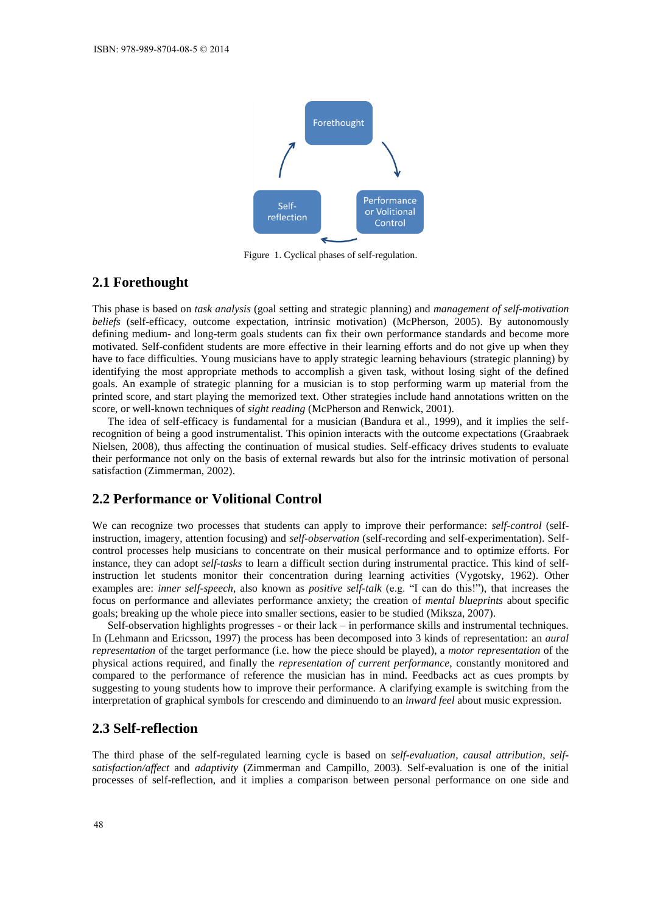

Figure 1. Cyclical phases of self-regulation.

# **2.1 Forethought**

This phase is based on *task analysis* (goal setting and strategic planning) and *management of self-motivation beliefs* (self-efficacy, outcome expectation, intrinsic motivation) (McPherson, 2005). By autonomously defining medium- and long-term goals students can fix their own performance standards and become more motivated. Self-confident students are more effective in their learning efforts and do not give up when they have to face difficulties. Young musicians have to apply strategic learning behaviours (strategic planning) by identifying the most appropriate methods to accomplish a given task, without losing sight of the defined goals. An example of strategic planning for a musician is to stop performing warm up material from the printed score, and start playing the memorized text. Other strategies include hand annotations written on the score, or well-known techniques of *sight reading* (McPherson and Renwick, 2001).

The idea of self-efficacy is fundamental for a musician (Bandura et al., 1999), and it implies the selfrecognition of being a good instrumentalist. This opinion interacts with the outcome expectations (Graabraek Nielsen, 2008), thus affecting the continuation of musical studies. Self-efficacy drives students to evaluate their performance not only on the basis of external rewards but also for the intrinsic motivation of personal satisfaction (Zimmerman, 2002).

## **2.2 Performance or Volitional Control**

We can recognize two processes that students can apply to improve their performance: *self-control* (selfinstruction, imagery, attention focusing) and *self-observation* (self-recording and self-experimentation). Selfcontrol processes help musicians to concentrate on their musical performance and to optimize efforts. For instance, they can adopt *self-tasks* to learn a difficult section during instrumental practice. This kind of selfinstruction let students monitor their concentration during learning activities (Vygotsky, 1962). Other examples are: *inner self-speech*, also known as *positive self-talk* (e.g. "I can do this!"), that increases the focus on performance and alleviates performance anxiety; the creation of *mental blueprints* about specific goals; breaking up the whole piece into smaller sections, easier to be studied (Miksza, 2007).

Self-observation highlights progresses - or their lack – in performance skills and instrumental techniques. In (Lehmann and Ericsson, 1997) the process has been decomposed into 3 kinds of representation: an *aural representation* of the target performance (i.e. how the piece should be played), a *motor representation* of the physical actions required, and finally the *representation of current performance*, constantly monitored and compared to the performance of reference the musician has in mind. Feedbacks act as cues prompts by suggesting to young students how to improve their performance. A clarifying example is switching from the interpretation of graphical symbols for crescendo and diminuendo to an *inward feel* about music expression.

#### **2.3 Self-reflection**

The third phase of the self-regulated learning cycle is based on *self-evaluation*, *causal attribution*, *selfsatisfaction/affect* and *adaptivity* (Zimmerman and Campillo, 2003). Self-evaluation is one of the initial processes of self-reflection, and it implies a comparison between personal performance on one side and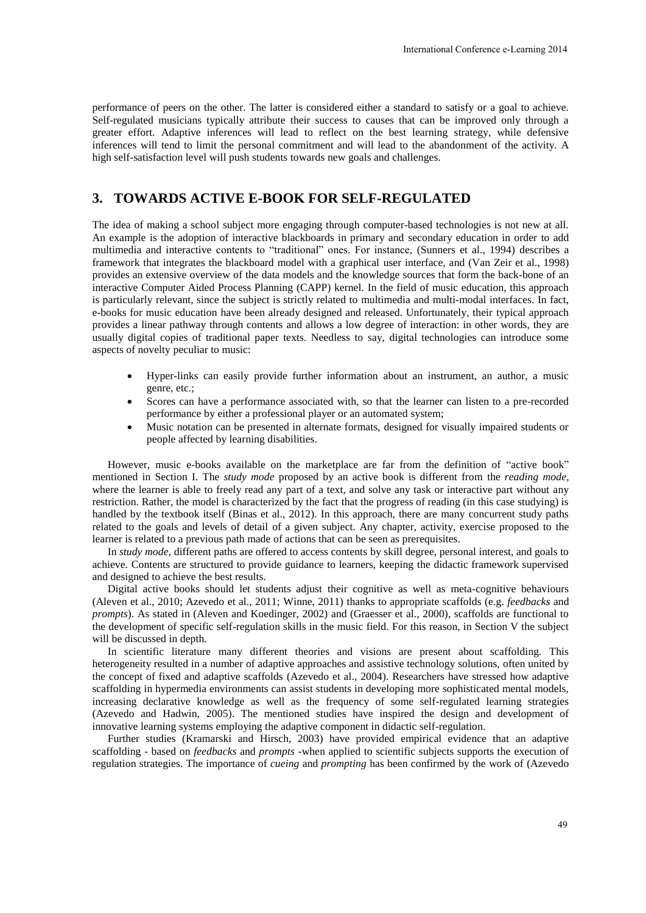performance of peers on the other. The latter is considered either a standard to satisfy or a goal to achieve. Self-regulated musicians typically attribute their success to causes that can be improved only through a greater effort. Adaptive inferences will lead to reflect on the best learning strategy, while defensive inferences will tend to limit the personal commitment and will lead to the abandonment of the activity. A high self-satisfaction level will push students towards new goals and challenges.

# **3. TOWARDS ACTIVE E-BOOK FOR SELF-REGULATED**

The idea of making a school subject more engaging through computer-based technologies is not new at all. An example is the adoption of interactive blackboards in primary and secondary education in order to add multimedia and interactive contents to "traditional" ones. For instance, (Sunners et al., 1994) describes a framework that integrates the blackboard model with a graphical user interface, and (Van Zeir et al., 1998) provides an extensive overview of the data models and the knowledge sources that form the back-bone of an interactive Computer Aided Process Planning (CAPP) kernel. In the field of music education, this approach is particularly relevant, since the subject is strictly related to multimedia and multi-modal interfaces. In fact, e-books for music education have been already designed and released. Unfortunately, their typical approach provides a linear pathway through contents and allows a low degree of interaction: in other words, they are usually digital copies of traditional paper texts. Needless to say, digital technologies can introduce some aspects of novelty peculiar to music: International Conference e-Learning 2014<br>
andard to satisfy or a goal to achieve<br>
hat can be improved only through a<br>
t learning strategy, while defensive<br>
of the abandomment of the activity. A<br>
allenges.<br> **GULATED**<br>
-base

- Hyper-links can easily provide further information about an instrument, an author, a music genre, etc.;
- Scores can have a performance associated with, so that the learner can listen to a pre-recorded performance by either a professional player or an automated system;
- Music notation can be presented in alternate formats, designed for visually impaired students or people affected by learning disabilities.

However, music e-books available on the marketplace are far from the definition of "active book" mentioned in Section I. The *study mode* proposed by an active book is different from the *reading mode*, where the learner is able to freely read any part of a text, and solve any task or interactive part without any restriction. Rather, the model is characterized by the fact that the progress of reading (in this case studying) is handled by the textbook itself (Binas et al., 2012). In this approach, there are many concurrent study paths related to the goals and levels of detail of a given subject. Any chapter, activity, exercise proposed to the learner is related to a previous path made of actions that can be seen as prerequisites.

In *study mode*, different paths are offered to access contents by skill degree, personal interest, and goals to achieve. Contents are structured to provide guidance to learners, keeping the didactic framework supervised and designed to achieve the best results.

Digital active books should let students adjust their cognitive as well as meta-cognitive behaviours (Aleven et al., 2010; Azevedo et al., 2011; Winne, 2011) thanks to appropriate scaffolds (e.g. *feedbacks* and *prompts*). As stated in (Aleven and Koedinger, 2002) and (Graesser et al., 2000), scaffolds are functional to the development of specific self-regulation skills in the music field. For this reason, in Section V the subject will be discussed in depth.

In scientific literature many different theories and visions are present about scaffolding. This heterogeneity resulted in a number of adaptive approaches and assistive technology solutions, often united by the concept of fixed and adaptive scaffolds (Azevedo et al., 2004). Researchers have stressed how adaptive scaffolding in hypermedia environments can assist students in developing more sophisticated mental models, increasing declarative knowledge as well as the frequency of some self-regulated learning strategies (Azevedo and Hadwin, 2005). The mentioned studies have inspired the design and development of innovative learning systems employing the adaptive component in didactic self-regulation.

Further studies (Kramarski and Hirsch, 2003) have provided empirical evidence that an adaptive scaffolding - based on *feedbacks* and *prompts* -when applied to scientific subjects supports the execution of regulation strategies. The importance of *cueing* and *prompting* has been confirmed by the work of (Azevedo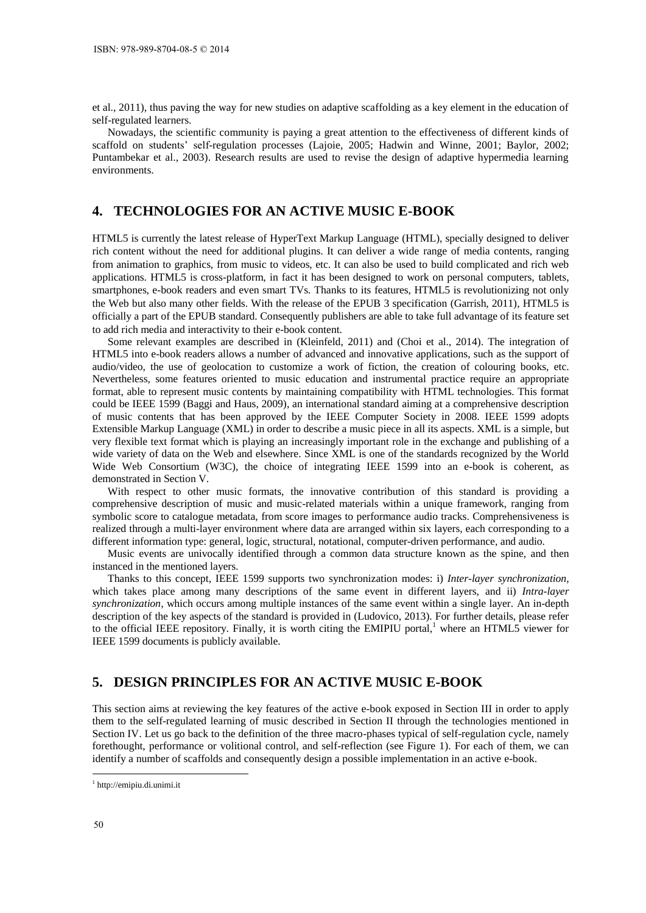et al., 2011), thus paving the way for new studies on adaptive scaffolding as a key element in the education of self-regulated learners.

Nowadays, the scientific community is paying a great attention to the effectiveness of different kinds of scaffold on students' self-regulation processes (Lajoie, 2005; Hadwin and Winne, 2001; Baylor, 2002; Puntambekar et al., 2003). Research results are used to revise the design of adaptive hypermedia learning environments.

# **4. TECHNOLOGIES FOR AN ACTIVE MUSIC E-BOOK**

HTML5 is currently the latest release of HyperText Markup Language (HTML), specially designed to deliver rich content without the need for additional plugins. It can deliver a wide range of media contents, ranging from animation to graphics, from music to videos, etc. It can also be used to build complicated and rich web applications. HTML5 is cross-platform, in fact it has been designed to work on personal computers, tablets, smartphones, e-book readers and even smart TVs. Thanks to its features, HTML5 is revolutionizing not only the Web but also many other fields. With the release of the EPUB 3 specification (Garrish, 2011), HTML5 is officially a part of the EPUB standard. Consequently publishers are able to take full advantage of its feature set to add rich media and interactivity to their e-book content.

Some relevant examples are described in (Kleinfeld, 2011) and (Choi et al., 2014). The integration of HTML5 into e-book readers allows a number of advanced and innovative applications, such as the support of audio/video, the use of geolocation to customize a work of fiction, the creation of colouring books, etc. Nevertheless, some features oriented to music education and instrumental practice require an appropriate format, able to represent music contents by maintaining compatibility with HTML technologies. This format could be IEEE 1599 (Baggi and Haus, 2009), an international standard aiming at a comprehensive description of music contents that has been approved by the IEEE Computer Society in 2008. IEEE 1599 adopts Extensible Markup Language (XML) in order to describe a music piece in all its aspects. XML is a simple, but very flexible text format which is playing an increasingly important role in the exchange and publishing of a wide variety of data on the Web and elsewhere. Since XML is one of the standards recognized by the World Wide Web Consortium (W3C), the choice of integrating IEEE 1599 into an e-book is coherent, as demonstrated in Section V.

With respect to other music formats, the innovative contribution of this standard is providing a comprehensive description of music and music-related materials within a unique framework, ranging from symbolic score to catalogue metadata, from score images to performance audio tracks. Comprehensiveness is realized through a multi-layer environment where data are arranged within six layers, each corresponding to a different information type: general, logic, structural, notational, computer-driven performance, and audio.

Music events are univocally identified through a common data structure known as the spine, and then instanced in the mentioned layers.

Thanks to this concept, IEEE 1599 supports two synchronization modes: i) *Inter-layer synchronization*, which takes place among many descriptions of the same event in different layers, and ii) *Intra-layer synchronization*, which occurs among multiple instances of the same event within a single layer. An in-depth description of the key aspects of the standard is provided in (Ludovico, 2013). For further details, please refer to the official IEEE repository. Finally, it is worth citing the EMIPIU portal,<sup>1</sup> where an HTML5 viewer for IEEE 1599 documents is publicly available.

# **5. DESIGN PRINCIPLES FOR AN ACTIVE MUSIC E-BOOK**

This section aims at reviewing the key features of the active e-book exposed in Section III in order to apply them to the self-regulated learning of music described in Section II through the technologies mentioned in Section IV. Let us go back to the definition of the three macro-phases typical of self-regulation cycle, namely forethought, performance or volitional control, and self-reflection (see Figure 1). For each of them, we can identify a number of scaffolds and consequently design a possible implementation in an active e-book.

1

<sup>1</sup> http://emipiu.di.unimi.it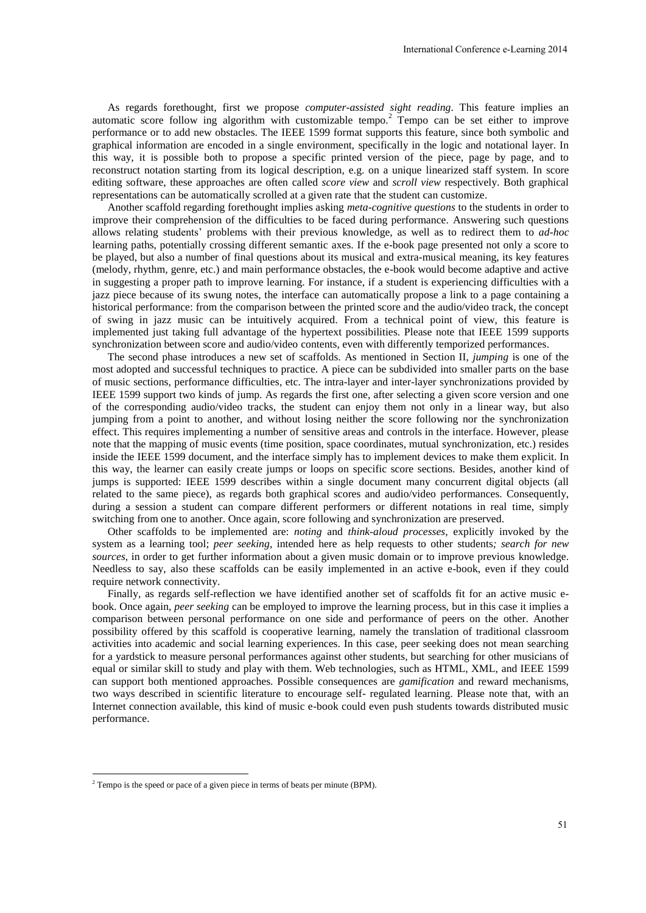As regards forethought, first we propose *computer-assisted sight reading*. This feature implies an automatic score follow ing algorithm with customizable tempo.<sup>2</sup> Tempo can be set either to improve performance or to add new obstacles. The IEEE 1599 format supports this feature, since both symbolic and graphical information are encoded in a single environment, specifically in the logic and notational layer. In this way, it is possible both to propose a specific printed version of the piece, page by page, and to reconstruct notation starting from its logical description, e.g. on a unique linearized staff system. In score editing software, these approaches are often called *score view* and *scroll view* respectively. Both graphical representations can be automatically scrolled at a given rate that the student can customize.

Another scaffold regarding forethought implies asking *meta-cognitive questions* to the students in order to improve their comprehension of the difficulties to be faced during performance. Answering such questions allows relating students' problems with their previous knowledge, as well as to redirect them to *ad-hoc*  learning paths, potentially crossing different semantic axes. If the e-book page presented not only a score to be played, but also a number of final questions about its musical and extra-musical meaning, its key features (melody, rhythm, genre, etc.) and main performance obstacles, the e-book would become adaptive and active in suggesting a proper path to improve learning. For instance, if a student is experiencing difficulties with a jazz piece because of its swung notes, the interface can automatically propose a link to a page containing a historical performance: from the comparison between the printed score and the audio/video track, the concept of swing in jazz music can be intuitively acquired. From a technical point of view, this feature is implemented just taking full advantage of the hypertext possibilities. Please note that IEEE 1599 supports synchronization between score and audio/video contents, even with differently temporized performances.

The second phase introduces a new set of scaffolds. As mentioned in Section II, *jumping* is one of the most adopted and successful techniques to practice. A piece can be subdivided into smaller parts on the base of music sections, performance difficulties, etc. The intra-layer and inter-layer synchronizations provided by IEEE 1599 support two kinds of jump. As regards the first one, after selecting a given score version and one of the corresponding audio/video tracks, the student can enjoy them not only in a linear way, but also jumping from a point to another, and without losing neither the score following nor the synchronization effect. This requires implementing a number of sensitive areas and controls in the interface. However, please note that the mapping of music events (time position, space coordinates, mutual synchronization, etc.) resides inside the IEEE 1599 document, and the interface simply has to implement devices to make them explicit. In this way, the learner can easily create jumps or loops on specific score sections. Besides, another kind of jumps is supported: IEEE 1599 describes within a single document many concurrent digital objects (all related to the same piece), as regards both graphical scores and audio/video performances. Consequently, during a session a student can compare different performers or different notations in real time, simply switching from one to another. Once again, score following and synchronization are preserved. International Conference e-Learning 2014<br> *Intrading*. This feature implies are<br> *iempo* can be set either to improve<br>
this feature, since both symbolic and<br>
y in the logic and notational layer. Ir scored<br>
of the piece, p

Other scaffolds to be implemented are: *noting* and *think-aloud processes*, explicitly invoked by the system as a learning tool; *peer seeking*, intended here as help requests to other students*; search for new sources*, in order to get further information about a given music domain or to improve previous knowledge. Needless to say, also these scaffolds can be easily implemented in an active e-book, even if they could require network connectivity.

Finally, as regards self-reflection we have identified another set of scaffolds fit for an active music ebook. Once again, *peer seeking* can be employed to improve the learning process, but in this case it implies a comparison between personal performance on one side and performance of peers on the other. Another possibility offered by this scaffold is cooperative learning, namely the translation of traditional classroom activities into academic and social learning experiences. In this case, peer seeking does not mean searching for a yardstick to measure personal performances against other students, but searching for other musicians of equal or similar skill to study and play with them. Web technologies, such as HTML, XML, and IEEE 1599 can support both mentioned approaches. Possible consequences are *gamification* and reward mechanisms, two ways described in scientific literature to encourage self- regulated learning. Please note that, with an Internet connection available, this kind of music e-book could even push students towards distributed music performance.

1

 $2$ <sup>2</sup> Tempo is the speed or pace of a given piece in terms of beats per minute (BPM).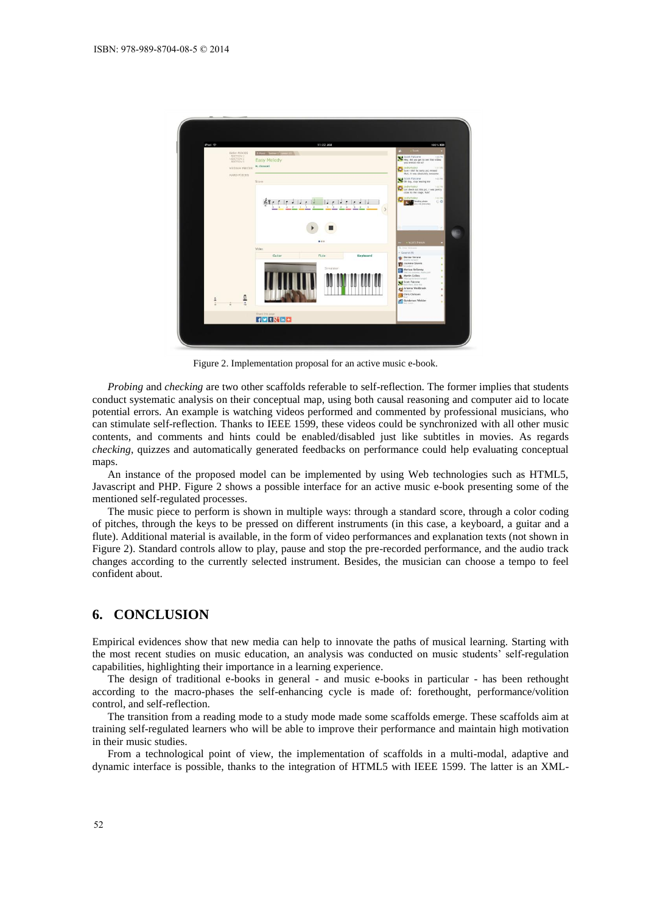

Figure 2. Implementation proposal for an active music e-book.

*Probing* and *checking* are two other scaffolds referable to self-reflection. The former implies that students conduct systematic analysis on their conceptual map, using both causal reasoning and computer aid to locate potential errors. An example is watching videos performed and commented by professional musicians, who can stimulate self-reflection. Thanks to IEEE 1599, these videos could be synchronized with all other music contents, and comments and hints could be enabled/disabled just like subtitles in movies. As regards *checking*, quizzes and automatically generated feedbacks on performance could help evaluating conceptual maps.

An instance of the proposed model can be implemented by using Web technologies such as HTML5, Javascript and PHP. Figure 2 shows a possible interface for an active music e-book presenting some of the mentioned self-regulated processes.

The music piece to perform is shown in multiple ways: through a standard score, through a color coding of pitches, through the keys to be pressed on different instruments (in this case, a keyboard, a guitar and a flute). Additional material is available, in the form of video performances and explanation texts (not shown in Figure 2). Standard controls allow to play, pause and stop the pre-recorded performance, and the audio track changes according to the currently selected instrument. Besides, the musician can choose a tempo to feel confident about.

# **6. CONCLUSION**

Empirical evidences show that new media can help to innovate the paths of musical learning. Starting with the most recent studies on music education, an analysis was conducted on music students' self-regulation capabilities, highlighting their importance in a learning experience.

The design of traditional e-books in general - and music e-books in particular - has been rethought according to the macro-phases the self-enhancing cycle is made of: forethought, performance/volition control, and self-reflection.

The transition from a reading mode to a study mode made some scaffolds emerge. These scaffolds aim at training self-regulated learners who will be able to improve their performance and maintain high motivation in their music studies.

From a technological point of view, the implementation of scaffolds in a multi-modal, adaptive and dynamic interface is possible, thanks to the integration of HTML5 with IEEE 1599. The latter is an XML-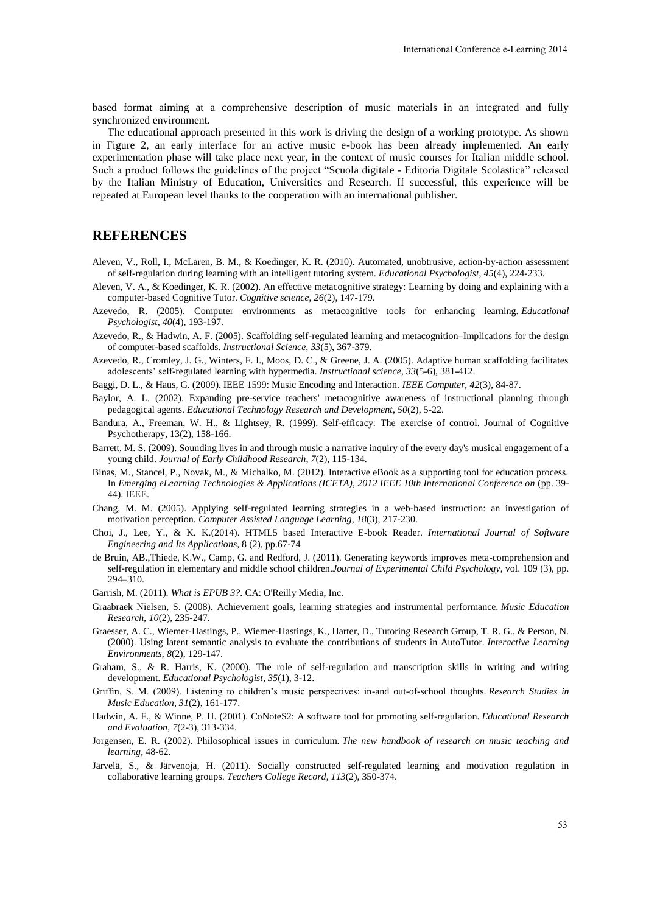based format aiming at a comprehensive description of music materials in an integrated and fully synchronized environment.

The educational approach presented in this work is driving the design of a working prototype. As shown in Figure 2, an early interface for an active music e-book has been already implemented. An early experimentation phase will take place next year, in the context of music courses for Italian middle school. Such a product follows the guidelines of the project "Scuola digitale - Editoria Digitale Scolastica" released by the Italian Ministry of Education, Universities and Research. If successful, this experience will be repeated at European level thanks to the cooperation with an international publisher. International Conference e-Learning 2014<br>
naterials in an integrated and fully<br>
gn of a working prototype. As shown<br>
ence already implemented. An early<br>
sic courses for Italian middle school<br>
Editoria Digitale Scolastica<sup>n</sup>

# **REFERENCES**

- Aleven, V., Roll, I., McLaren, B. M., & Koedinger, K. R. (2010). Automated, unobtrusive, action-by-action assessment of self-regulation during learning with an intelligent tutoring system. *Educational Psychologist*, *45*(4), 224-233.
- Aleven, V. A., & Koedinger, K. R. (2002). An effective metacognitive strategy: Learning by doing and explaining with a computer-based Cognitive Tutor. *Cognitive science*, *26*(2), 147-179.
- Azevedo, R. (2005). Computer environments as metacognitive tools for enhancing learning. *Educational Psychologist*, *40*(4), 193-197.
- Azevedo, R., & Hadwin, A. F. (2005). Scaffolding self-regulated learning and metacognition–Implications for the design of computer-based scaffolds. *Instructional Science*, *33*(5), 367-379.
- Azevedo, R., Cromley, J. G., Winters, F. I., Moos, D. C., & Greene, J. A. (2005). Adaptive human scaffolding facilitates adolescents' self-regulated learning with hypermedia. *Instructional science*, *33*(5-6), 381-412.
- Baggi, D. L., & Haus, G. (2009). IEEE 1599: Music Encoding and Interaction. *IEEE Computer*, *42*(3), 84-87.
- Baylor, A. L. (2002). Expanding pre-service teachers' metacognitive awareness of instructional planning through pedagogical agents. *Educational Technology Research and Development*, *50*(2), 5-22.
- Bandura, A., Freeman, W. H., & Lightsey, R. (1999). Self-efficacy: The exercise of control. Journal of Cognitive Psychotherapy, 13(2), 158-166.
- Barrett, M. S. (2009). Sounding lives in and through music a narrative inquiry of the every day's musical engagement of a young child. *Journal of Early Childhood Research*, *7*(2), 115-134.
- Binas, M., Stancel, P., Novak, M., & Michalko, M. (2012). Interactive eBook as a supporting tool for education process. In *Emerging eLearning Technologies & Applications (ICETA), 2012 IEEE 10th International Conference on* (pp. 39- 44). IEEE.
- Chang, M. M. (2005). Applying self-regulated learning strategies in a web-based instruction: an investigation of motivation perception. *Computer Assisted Language Learning*, *18*(3), 217-230.
- Choi, J., Lee, Y., & K. K.(2014). HTML5 based Interactive E-book Reader. *International Journal of Software Engineering and Its Applications*, 8 (2), pp.67-74
- de Bruin, AB.,Thiede, K.W., Camp, G. and Redford, J. (2011). Generating keywords improves meta-comprehension and self-regulation in elementary and middle school children.*Journal of Experimental Child Psychology*, vol. 109 (3), pp. 294–310.

Garrish, M. (2011). *What is EPUB 3?*. CA: O'Reilly Media, Inc.

- Graabraek Nielsen, S. (2008). Achievement goals, learning strategies and instrumental performance. *Music Education Research*, *10*(2), 235-247.
- Graesser, A. C., Wiemer-Hastings, P., Wiemer-Hastings, K., Harter, D., Tutoring Research Group, T. R. G., & Person, N. (2000). Using latent semantic analysis to evaluate the contributions of students in AutoTutor. *Interactive Learning Environments*, *8*(2), 129-147.
- Graham, S., & R. Harris, K. (2000). The role of self-regulation and transcription skills in writing and writing development. *Educational Psychologist*, *35*(1), 3-12.
- Griffin, S. M. (2009). Listening to children's music perspectives: in-and out-of-school thoughts. *Research Studies in Music Education*, *31*(2), 161-177.
- Hadwin, A. F., & Winne, P. H. (2001). CoNoteS2: A software tool for promoting self-regulation. *Educational Research and Evaluation*, *7*(2-3), 313-334.
- Jorgensen, E. R. (2002). Philosophical issues in curriculum. *The new handbook of research on music teaching and learning*, 48-62.
- Järvelä, S., & Järvenoja, H. (2011). Socially constructed self-regulated learning and motivation regulation in collaborative learning groups. *Teachers College Record*, *113*(2), 350-374.